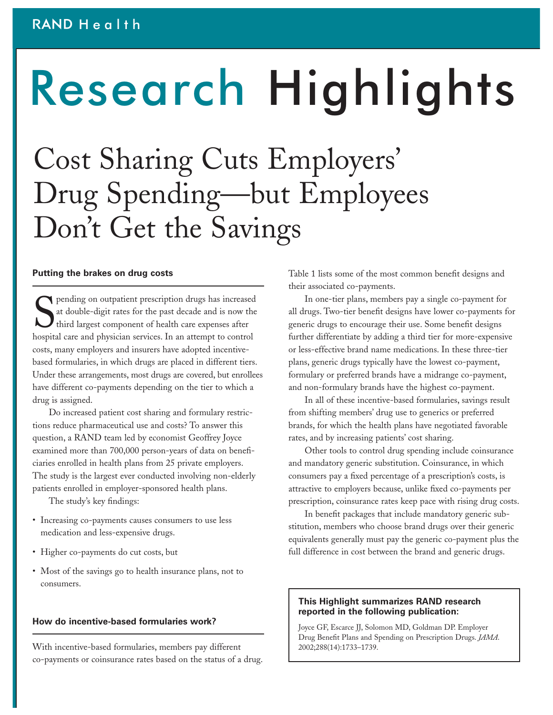# Research Highlights

## Cost Sharing Cuts Employers' Drug Spending—but Employees Don't Get the Savings

#### **Putting the brakes on drug costs**

Solution drugs has increased at double-digit rates for the past decade and is now the third largest component of health care expenses after hospital care and physician services. In an attempt to control Pending on outpatient prescription drugs has increased at double-digit rates for the past decade and is now the third largest component of health care expenses after costs, many employers and insurers have adopted incentivebased formularies, in which drugs are placed in different tiers. Under these arrangements, most drugs are covered, but enrollees have different co-payments depending on the tier to which a drug is assigned.

Do increased patient cost sharing and formulary restrictions reduce pharmaceutical use and costs? To answer this question, a RAND team led by economist Geoffrey Joyce examined more than 700,000 person-years of data on beneficiaries enrolled in health plans from 25 private employers. The study is the largest ever conducted involving non-elderly patients enrolled in employer-sponsored health plans.

The study's key findings:

- Increasing co-payments causes consumers to use less medication and less-expensive drugs.
- Higher co-payments do cut costs, but
- Most of the savings go to health insurance plans, not to consumers.

#### **How do incentive-based formularies work?**

With incentive-based formularies, members pay different co-payments or coinsurance rates based on the status of a drug. Table 1 lists some of the most common benefit designs and their associated co-payments.

In one-tier plans, members pay a single co-payment for all drugs. Two-tier benefit designs have lower co-payments for generic drugs to encourage their use. Some benefit designs further differentiate by adding a third tier for more-expensive or less-effective brand name medications. In these three-tier plans, generic drugs typically have the lowest co-payment, formulary or preferred brands have a midrange co-payment, and non-formulary brands have the highest co-payment.

In all of these incentive-based formularies, savings result from shifting members' drug use to generics or preferred brands, for which the health plans have negotiated favorable rates, and by increasing patients' cost sharing.

Other tools to control drug spending include coinsurance and mandatory generic substitution. Coinsurance, in which consumers pay a fixed percentage of a prescription's costs, is attractive to employers because, unlike fixed co-payments per prescription, coinsurance rates keep pace with rising drug costs.

In benefit packages that include mandatory generic substitution, members who choose brand drugs over their generic equivalents generally must pay the generic co-payment plus the full difference in cost between the brand and generic drugs.

#### **This Highlight summarizes RAND research reported in the following publication:**

Joyce GF, Escarce JJ, Solomon MD, Goldman DP. Employer Drug Benefit Plans and Spending on Prescription Drugs. *JAMA*. 2002;288(14):1733–1739.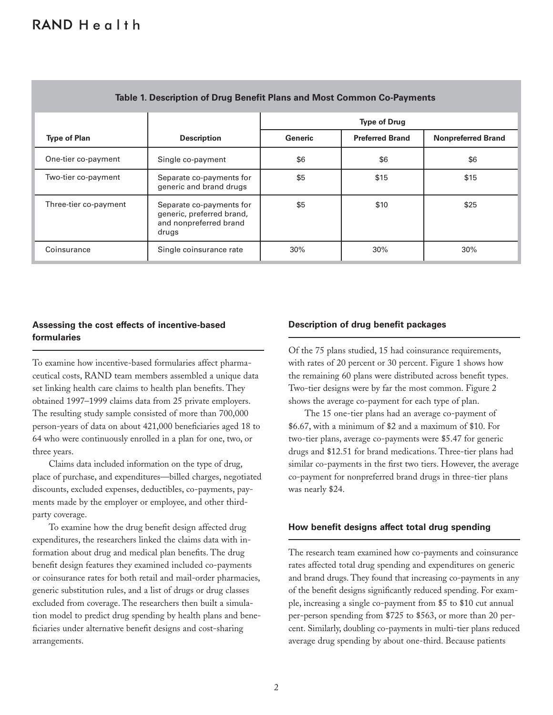| Table 1. Description of Drug Benefit Plans and Most Common Co-Payments |                                                                                          |                     |                        |                           |  |  |  |
|------------------------------------------------------------------------|------------------------------------------------------------------------------------------|---------------------|------------------------|---------------------------|--|--|--|
|                                                                        |                                                                                          | <b>Type of Drug</b> |                        |                           |  |  |  |
| <b>Type of Plan</b>                                                    | <b>Description</b>                                                                       | Generic             | <b>Preferred Brand</b> | <b>Nonpreferred Brand</b> |  |  |  |
| One-tier co-payment                                                    | Single co-payment                                                                        | \$6                 | \$6                    | \$6                       |  |  |  |
| Two-tier co-payment                                                    | Separate co-payments for<br>generic and brand drugs                                      | \$5                 | \$15                   | \$15                      |  |  |  |
| Three-tier co-payment                                                  | Separate co-payments for<br>generic, preferred brand,<br>and nonpreferred brand<br>drugs | \$5                 | \$10                   | \$25                      |  |  |  |
| Coinsurance                                                            | Single coinsurance rate                                                                  | 30%                 | 30%                    | 30%                       |  |  |  |

#### **Assessing the cost effects of incentive-based formularies**

To examine how incentive-based formularies affect pharmaceutical costs, RAND team members assembled a unique data set linking health care claims to health plan benefits. They obtained 1997–1999 claims data from 25 private employers. The resulting study sample consisted of more than 700,000 person-years of data on about 421,000 beneficiaries aged 18 to 64 who were continuously enrolled in a plan for one, two, or three years.

Claims data included information on the type of drug, place of purchase, and expenditures—billed charges, negotiated discounts, excluded expenses, deductibles, co-payments, payments made by the employer or employee, and other thirdparty coverage.

To examine how the drug benefit design affected drug expenditures, the researchers linked the claims data with information about drug and medical plan benefits. The drug benefit design features they examined included co-payments or coinsurance rates for both retail and mail-order pharmacies, generic substitution rules, and a list of drugs or drug classes excluded from coverage. The researchers then built a simulation model to predict drug spending by health plans and beneficiaries under alternative benefit designs and cost-sharing arrangements.

#### **Description of drug benefit packages**

Of the 75 plans studied, 15 had coinsurance requirements, with rates of 20 percent or 30 percent. Figure 1 shows how the remaining 60 plans were distributed across benefit types. Two-tier designs were by far the most common. Figure 2 shows the average co-payment for each type of plan.

The 15 one-tier plans had an average co-payment of \$6.67, with a minimum of \$2 and a maximum of \$10. For two-tier plans, average co-payments were \$5.47 for generic drugs and \$12.51 for brand medications. Three-tier plans had similar co-payments in the first two tiers. However, the average co-payment for nonpreferred brand drugs in three-tier plans was nearly \$24.

#### **How benefit designs affect total drug spending**

The research team examined how co-payments and coinsurance rates affected total drug spending and expenditures on generic and brand drugs. They found that increasing co-payments in any of the benefit designs significantly reduced spending. For example, increasing a single co-payment from \$5 to \$10 cut annual per-person spending from \$725 to \$563, or more than 20 percent. Similarly, doubling co-payments in multi-tier plans reduced average drug spending by about one-third. Because patients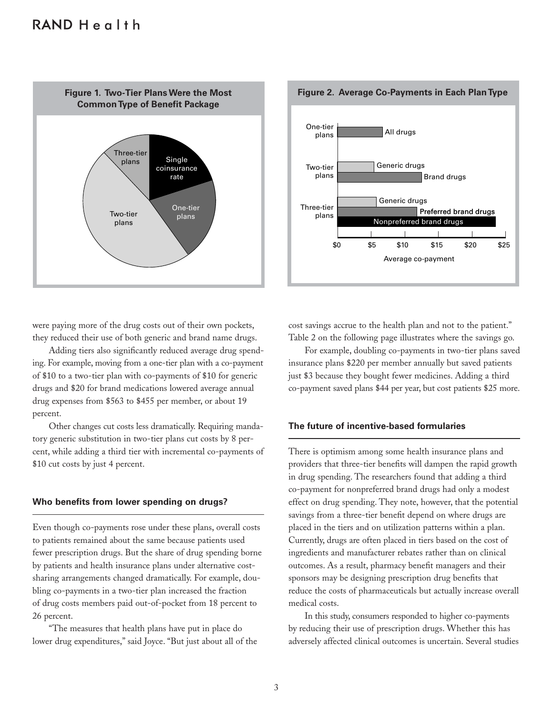### $RANDHea$





#### **Figure 2. Average Co-Payments in Each Plan Type**

were paying more of the drug costs out of their own pockets, they reduced their use of both generic and brand name drugs.

Adding tiers also significantly reduced average drug spending. For example, moving from a one-tier plan with a co-payment of \$10 to a two-tier plan with co-payments of \$10 for generic drugs and \$20 for brand medications lowered average annual drug expenses from \$563 to \$455 per member, or about 19 percent.

Other changes cut costs less dramatically. Requiring mandatory generic substitution in two-tier plans cut costs by 8 percent, while adding a third tier with incremental co-payments of \$10 cut costs by just 4 percent.

#### **Who benefits from lower spending on drugs?**

Even though co-payments rose under these plans, overall costs to patients remained about the same because patients used fewer prescription drugs. But the share of drug spending borne by patients and health insurance plans under alternative costsharing arrangements changed dramatically. For example, doubling co-payments in a two-tier plan increased the fraction of drug costs members paid out-of-pocket from 18 percent to 26 percent.

"The measures that health plans have put in place do lower drug expenditures," said Joyce. "But just about all of the

cost savings accrue to the health plan and not to the patient." Table 2 on the following page illustrates where the savings go.

For example, doubling co-payments in two-tier plans saved insurance plans \$220 per member annually but saved patients just \$3 because they bought fewer medicines. Adding a third co-payment saved plans \$44 per year, but cost patients \$25 more.

#### **The future of incentive-based formularies**

There is optimism among some health insurance plans and providers that three-tier benefits will dampen the rapid growth in drug spending. The researchers found that adding a third co-payment for nonpreferred brand drugs had only a modest effect on drug spending. They note, however, that the potential savings from a three-tier benefit depend on where drugs are placed in the tiers and on utilization patterns within a plan. Currently, drugs are often placed in tiers based on the cost of ingredients and manufacturer rebates rather than on clinical outcomes. As a result, pharmacy benefit managers and their sponsors may be designing prescription drug benefits that reduce the costs of pharmaceuticals but actually increase overall medical costs.

In this study, consumers responded to higher co-payments by reducing their use of prescription drugs. Whether this has adversely affected clinical outcomes is uncertain. Several studies